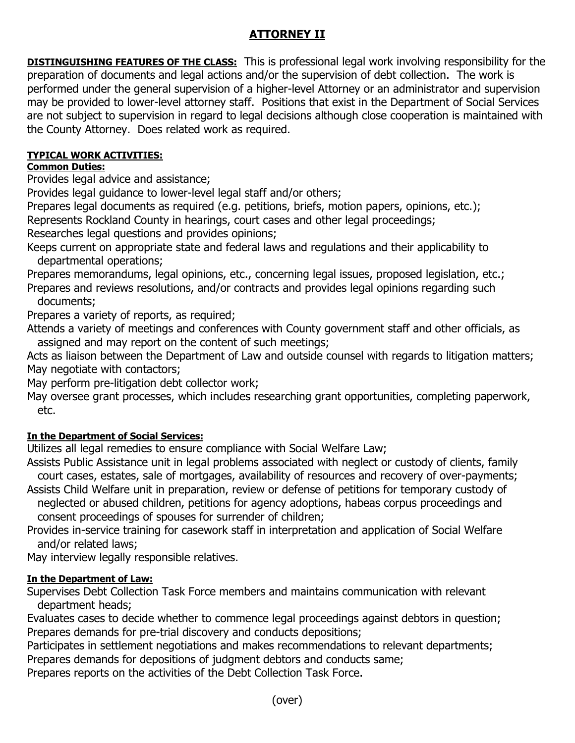# **ATTORNEY II**

**DISTINGUISHING FEATURES OF THE CLASS:** This is professional legal work involving responsibility for the preparation of documents and legal actions and/or the supervision of debt collection. The work is performed under the general supervision of a higher-level Attorney or an administrator and supervision may be provided to lower-level attorney staff. Positions that exist in the Department of Social Services are not subject to supervision in regard to legal decisions although close cooperation is maintained with the County Attorney. Does related work as required.

## **TYPICAL WORK ACTIVITIES:**

## **Common Duties:**

Provides legal advice and assistance;

Provides legal guidance to lower-level legal staff and/or others;

Prepares legal documents as required (e.g. petitions, briefs, motion papers, opinions, etc.); Represents Rockland County in hearings, court cases and other legal proceedings;

Researches legal questions and provides opinions;

Keeps current on appropriate state and federal laws and regulations and their applicability to departmental operations;

Prepares memorandums, legal opinions, etc., concerning legal issues, proposed legislation, etc.;

Prepares and reviews resolutions, and/or contracts and provides legal opinions regarding such documents;

Prepares a variety of reports, as required;

Attends a variety of meetings and conferences with County government staff and other officials, as assigned and may report on the content of such meetings;

Acts as liaison between the Department of Law and outside counsel with regards to litigation matters; May negotiate with contactors;

May perform pre-litigation debt collector work;

May oversee grant processes, which includes researching grant opportunities, completing paperwork, etc.

## **In the Department of Social Services:**

Utilizes all legal remedies to ensure compliance with Social Welfare Law;

- Assists Public Assistance unit in legal problems associated with neglect or custody of clients, family court cases, estates, sale of mortgages, availability of resources and recovery of over-payments;
- Assists Child Welfare unit in preparation, review or defense of petitions for temporary custody of neglected or abused children, petitions for agency adoptions, habeas corpus proceedings and consent proceedings of spouses for surrender of children;
- Provides in-service training for casework staff in interpretation and application of Social Welfare and/or related laws;

May interview legally responsible relatives.

### **In the Department of Law:**

Supervises Debt Collection Task Force members and maintains communication with relevant department heads;

Evaluates cases to decide whether to commence legal proceedings against debtors in question; Prepares demands for pre-trial discovery and conducts depositions;

Participates in settlement negotiations and makes recommendations to relevant departments;

Prepares demands for depositions of judgment debtors and conducts same;

Prepares reports on the activities of the Debt Collection Task Force.